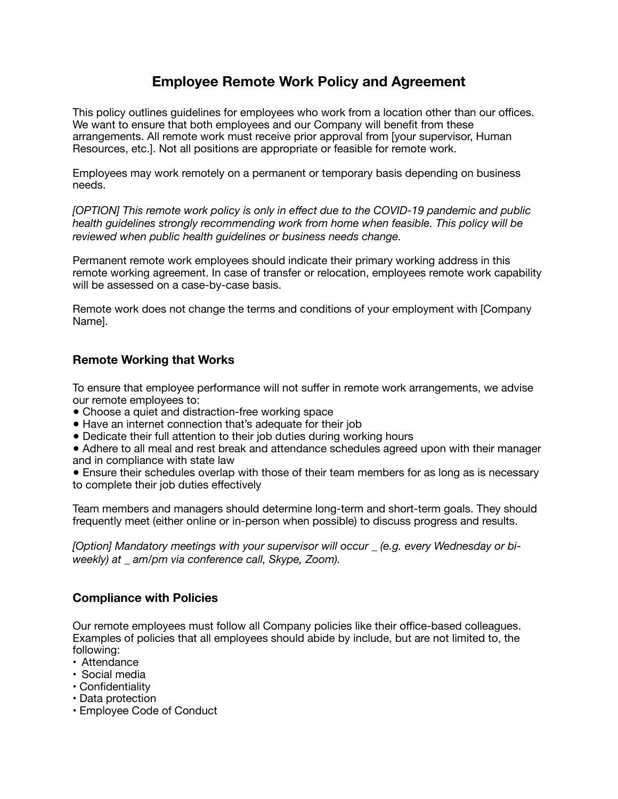# **Employee Remote Work Policy and Agreement**

This policy outlines guidelines for employees who work from a location other than our offices. We want to ensure that both employees and our Company will benefit from these arrangements. All remote work must receive prior approval from [your supervisor, Human Resources, etc.]. Not all positions are appropriate or feasible for remote work.

Employees may work remotely on a permanent or temporary basis depending on business needs.

*[OPTION] This remote work policy is only in effect due to the COVID-19 pandemic and public health guidelines strongly recommending work from home when feasible. This policy will be reviewed when public health guidelines or business needs change.* 

Permanent remote work employees should indicate their primary working address in this remote working agreement. In case of transfer or relocation, employees remote work capability will be assessed on a case-by-case basis.

Remote work does not change the terms and conditions of your employment with [Company Name].

### **Remote Working that Works**

To ensure that employee performance will not suffer in remote work arrangements, we advise our remote employees to:

- Choose a quiet and distraction-free working space
- Have an internet connection that's adequate for their job
- Dedicate their full attention to their job duties during working hours

● Adhere to all meal and rest break and attendance schedules agreed upon with their manager and in compliance with state law

• Ensure their schedules overlap with those of their team members for as long as is necessary to complete their job duties effectively

Team members and managers should determine long-term and short-term goals. They should frequently meet (either online or in-person when possible) to discuss progress and results.

*[Option] Mandatory meetings with your supervisor will occur \_ (e.g. every Wednesday or biweekly) at \_ am/pm via conference call, Skype, Zoom).* 

#### **Compliance with Policies**

Our remote employees must follow all Company policies like their office-based colleagues. Examples of policies that all employees should abide by include, but are not limited to, the following:

- Attendance
- Social media
- Confidentiality
- Data protection
- Employee Code of Conduct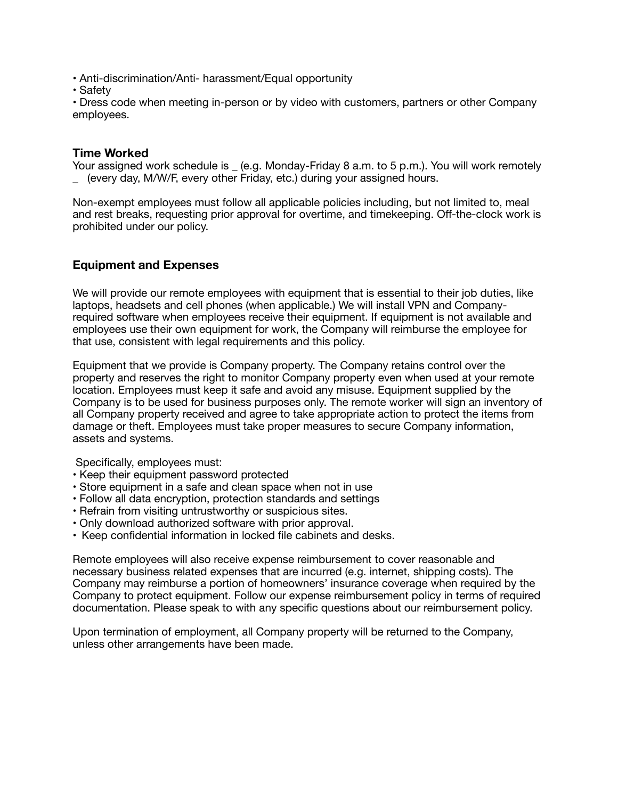• Anti-discrimination/Anti- harassment/Equal opportunity

• Safety

• Dress code when meeting in-person or by video with customers, partners or other Company employees.

#### **Time Worked**

Your assigned work schedule is \_ (e.g. Monday-Friday 8 a.m. to 5 p.m.). You will work remotely (every day, M/W/F, every other Friday, etc.) during your assigned hours.

Non-exempt employees must follow all applicable policies including, but not limited to, meal and rest breaks, requesting prior approval for overtime, and timekeeping. Off-the-clock work is prohibited under our policy.

### **Equipment and Expenses**

We will provide our remote employees with equipment that is essential to their job duties, like laptops, headsets and cell phones (when applicable.) We will install VPN and Companyrequired software when employees receive their equipment. If equipment is not available and employees use their own equipment for work, the Company will reimburse the employee for that use, consistent with legal requirements and this policy.

Equipment that we provide is Company property. The Company retains control over the property and reserves the right to monitor Company property even when used at your remote location. Employees must keep it safe and avoid any misuse. Equipment supplied by the Company is to be used for business purposes only. The remote worker will sign an inventory of all Company property received and agree to take appropriate action to protect the items from damage or theft. Employees must take proper measures to secure Company information, assets and systems.

Specifically, employees must:

- Keep their equipment password protected
- Store equipment in a safe and clean space when not in use
- Follow all data encryption, protection standards and settings
- Refrain from visiting untrustworthy or suspicious sites.
- Only download authorized software with prior approval.
- Keep confidential information in locked file cabinets and desks.

Remote employees will also receive expense reimbursement to cover reasonable and necessary business related expenses that are incurred (e.g. internet, shipping costs). The Company may reimburse a portion of homeowners' insurance coverage when required by the Company to protect equipment. Follow our expense reimbursement policy in terms of required documentation. Please speak to with any specific questions about our reimbursement policy.

Upon termination of employment, all Company property will be returned to the Company, unless other arrangements have been made.